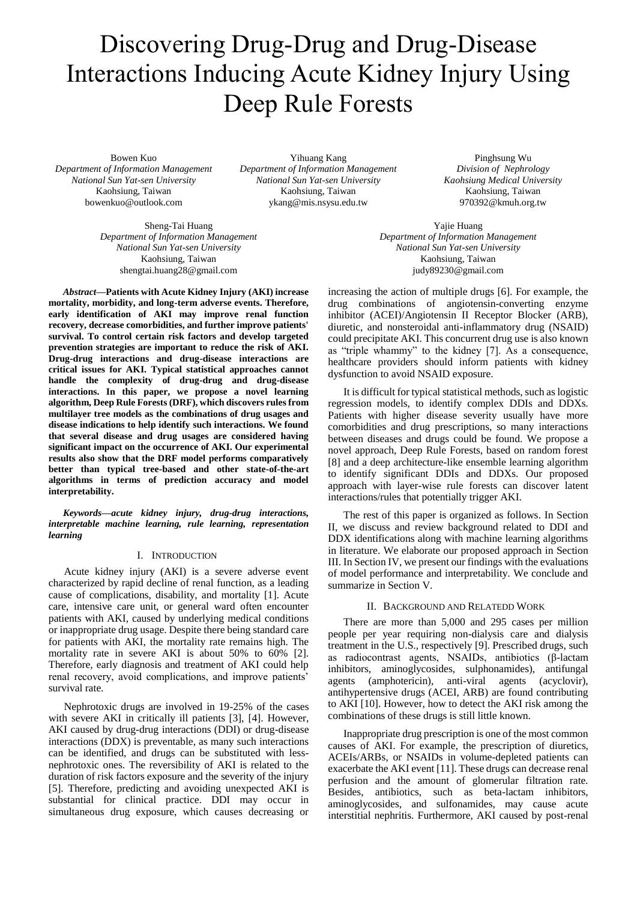# Discovering Drug-Drug and Drug-Disease Interactions Inducing Acute Kidney Injury Using Deep Rule Forests

Bowen Kuo *Department of Information Management National Sun Yat-sen University* Kaohsiung, Taiwan bowenkuo@outlook.com

Yihuang Kang *Department of Information Management National Sun Yat-sen University* Kaohsiung, Taiwan ykang@mis.nsysu.edu.tw

Sheng-Tai Huang *Department of Information Management National Sun Yat-sen University* Kaohsiung, Taiwan shengtai.huang28@gmail.com

*Abstract***—Patients with Acute Kidney Injury (AKI) increase mortality, morbidity, and long-term adverse events. Therefore, early identification of AKI may improve renal function recovery, decrease comorbidities, and further improve patients' survival. To control certain risk factors and develop targeted prevention strategies are important to reduce the risk of AKI. Drug-drug interactions and drug-disease interactions are critical issues for AKI. Typical statistical approaches cannot handle the complexity of drug-drug and drug-disease interactions. In this paper, we propose a novel learning algorithm, Deep Rule Forests (DRF), which discovers rules from multilayer tree models as the combinations of drug usages and disease indications to help identify such interactions. We found that several disease and drug usages are considered having significant impact on the occurrence of AKI. Our experimental results also show that the DRF model performs comparatively better than typical tree-based and other state-of-the-art algorithms in terms of prediction accuracy and model interpretability.**

*Keywords—acute kidney injury, drug-drug interactions, interpretable machine learning, rule learning, representation learning*

## I. INTRODUCTION

Acute kidney injury (AKI) is a severe adverse event characterized by rapid decline of renal function, as a leading cause of complications, disability, and mortality [1]. Acute care, intensive care unit, or general ward often encounter patients with AKI, caused by underlying medical conditions or inappropriate drug usage. Despite there being standard care for patients with AKI, the mortality rate remains high. The mortality rate in severe AKI is about 50% to 60% [2]. Therefore, early diagnosis and treatment of AKI could help renal recovery, avoid complications, and improve patients' survival rate.

Nephrotoxic drugs are involved in 19-25% of the cases with severe AKI in critically ill patients [3], [4]. However, AKI caused by drug-drug interactions (DDI) or drug-disease interactions (DDX) is preventable, as many such interactions can be identified, and drugs can be substituted with lessnephrotoxic ones. The reversibility of AKI is related to the duration of risk factors exposure and the severity of the injury [5]. Therefore, predicting and avoiding unexpected AKI is substantial for clinical practice. DDI may occur in simultaneous drug exposure, which causes decreasing or

Pinghsung Wu *Division of Nephrology Kaohsiung Medical University* Kaohsiung, Taiwan 970392@kmuh.org.tw

Yajie Huang *Department of Information Management National Sun Yat-sen University* Kaohsiung, Taiwan judy89230@gmail.com

increasing the action of multiple drugs [6]. For example, the drug combinations of angiotensin-converting enzyme inhibitor (ACEI)/Angiotensin II Receptor Blocker (ARB), diuretic, and nonsteroidal anti-inflammatory drug (NSAID) could precipitate AKI. This concurrent drug use is also known as "triple whammy" to the kidney [7]. As a consequence, healthcare providers should inform patients with kidney dysfunction to avoid NSAID exposure.

It is difficult for typical statistical methods, such as logistic regression models, to identify complex DDIs and DDXs. Patients with higher disease severity usually have more comorbidities and drug prescriptions, so many interactions between diseases and drugs could be found. We propose a novel approach, Deep Rule Forests, based on random forest [8] and a deep architecture-like ensemble learning algorithm to identify significant DDIs and DDXs. Our proposed approach with layer-wise rule forests can discover latent interactions/rules that potentially trigger AKI.

The rest of this paper is organized as follows. In Section II, we discuss and review background related to DDI and DDX identifications along with machine learning algorithms in literature. We elaborate our proposed approach in Section III. In Section IV, we present our findings with the evaluations of model performance and interpretability. We conclude and summarize in Section V.

#### II. BACKGROUND AND RELATEDD WORK

There are more than 5,000 and 295 cases per million people per year requiring non-dialysis care and dialysis treatment in the U.S., respectively [9]. Prescribed drugs, such as radiocontrast agents, NSAIDs, antibiotics (β-lactam inhibitors, aminoglycosides, sulphonamides), antifungal agents (amphotericin), anti-viral agents (acyclovir), antihypertensive drugs (ACEI, ARB) are found contributing to AKI [10]. However, how to detect the AKI risk among the combinations of these drugs is still little known.

Inappropriate drug prescription is one of the most common causes of AKI. For example, the prescription of diuretics, ACEIs/ARBs, or NSAIDs in volume-depleted patients can exacerbate the AKI event [11]. These drugs can decrease renal perfusion and the amount of glomerular filtration rate. Besides, antibiotics, such as beta-lactam inhibitors, aminoglycosides, and sulfonamides, may cause acute interstitial nephritis. Furthermore, AKI caused by post-renal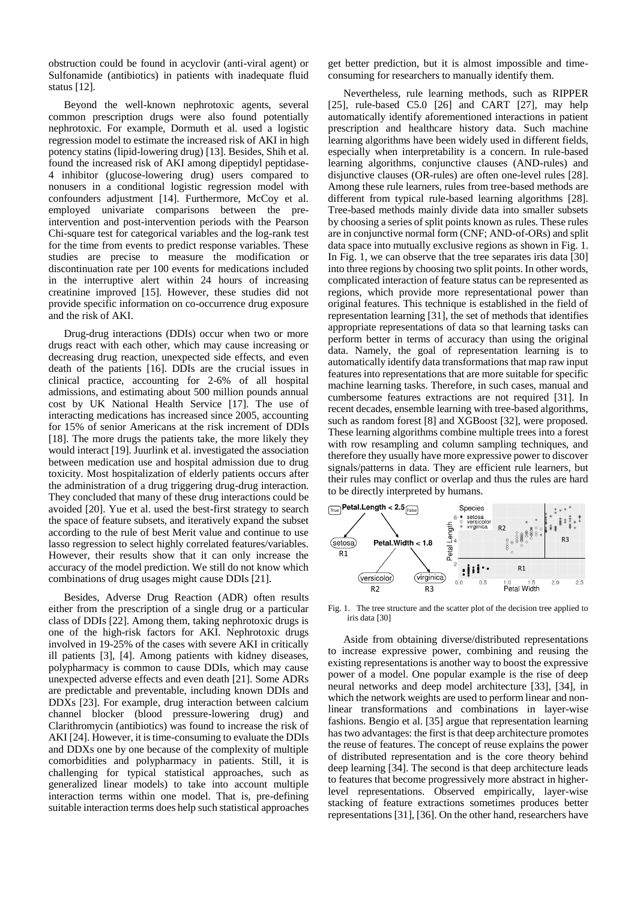obstruction could be found in acyclovir (anti-viral agent) or Sulfonamide (antibiotics) in patients with inadequate fluid status [12].

Beyond the well-known nephrotoxic agents, several common prescription drugs were also found potentially nephrotoxic. For example, Dormuth et al. used a logistic regression model to estimate the increased risk of AKI in high potency statins (lipid-lowering drug) [13]. Besides, Shih et al. found the increased risk of AKI among dipeptidyl peptidase-4 inhibitor (glucose-lowering drug) users compared to nonusers in a conditional logistic regression model with confounders adjustment [14]. Furthermore, McCoy et al. employed univariate comparisons between the preintervention and post-intervention periods with the Pearson Chi-square test for categorical variables and the log-rank test for the time from events to predict response variables. These studies are precise to measure the modification or discontinuation rate per 100 events for medications included in the interruptive alert within 24 hours of increasing creatinine improved [15]. However, these studies did not provide specific information on co-occurrence drug exposure and the risk of AKI.

Drug-drug interactions (DDIs) occur when two or more drugs react with each other, which may cause increasing or decreasing drug reaction, unexpected side effects, and even death of the patients [16]. DDIs are the crucial issues in clinical practice, accounting for 2-6% of all hospital admissions, and estimating about 500 million pounds annual cost by UK National Health Service [17]. The use of interacting medications has increased since 2005, accounting for 15% of senior Americans at the risk increment of DDIs [18]. The more drugs the patients take, the more likely they would interact [19]. Juurlink et al. investigated the association between medication use and hospital admission due to drug toxicity. Most hospitalization of elderly patients occurs after the administration of a drug triggering drug-drug interaction. They concluded that many of these drug interactions could be avoided [20]. Yue et al. used the best-first strategy to search the space of feature subsets, and iteratively expand the subset according to the rule of best Merit value and continue to use lasso regression to select highly correlated features/variables. However, their results show that it can only increase the accuracy of the model prediction. We still do not know which combinations of drug usages might cause DDIs [21].

Besides, Adverse Drug Reaction (ADR) often results either from the prescription of a single drug or a particular class of DDIs [22]. Among them, taking nephrotoxic drugs is one of the high-risk factors for AKI. Nephrotoxic drugs involved in 19-25% of the cases with severe AKI in critically ill patients [3], [4]. Among patients with kidney diseases, polypharmacy is common to cause DDIs, which may cause unexpected adverse effects and even death [21]. Some ADRs are predictable and preventable, including known DDIs and DDXs [23]. For example, drug interaction between calcium channel blocker (blood pressure-lowering drug) and Clarithromycin (antibiotics) was found to increase the risk of AKI [24]. However, it is time-consuming to evaluate the DDIs and DDXs one by one because of the complexity of multiple comorbidities and polypharmacy in patients. Still, it is challenging for typical statistical approaches, such as generalized linear models) to take into account multiple interaction terms within one model. That is, pre-defining suitable interaction terms does help such statistical approaches

get better prediction, but it is almost impossible and timeconsuming for researchers to manually identify them.

Nevertheless, rule learning methods, such as RIPPER [25], rule-based C5.0 [26] and CART [27], may help automatically identify aforementioned interactions in patient prescription and healthcare history data. Such machine learning algorithms have been widely used in different fields, especially when interpretability is a concern. In rule-based learning algorithms, conjunctive clauses (AND-rules) and disjunctive clauses (OR-rules) are often one-level rules [28]. Among these rule learners, rules from tree-based methods are different from typical rule-based learning algorithms [28]. Tree-based methods mainly divide data into smaller subsets by choosing a series of split points known as rules. These rules are in conjunctive normal form (CNF; AND-of-ORs) and split data space into mutually exclusive regions as shown in Fig. 1. In Fig. 1, we can observe that the tree separates iris data [30] into three regions by choosing two split points. In other words, complicated interaction of feature status can be represented as regions, which provide more representational power than original features. This technique is established in the field of representation learning [31], the set of methods that identifies appropriate representations of data so that learning tasks can perform better in terms of accuracy than using the original data. Namely, the goal of representation learning is to automatically identify data transformations that map raw input features into representations that are more suitable for specific machine learning tasks. Therefore, in such cases, manual and cumbersome features extractions are not required [31]. In recent decades, ensemble learning with tree-based algorithms, such as random forest [8] and XGBoost [32], were proposed. These learning algorithms combine multiple trees into a forest with row resampling and column sampling techniques, and therefore they usually have more expressive power to discover signals/patterns in data. They are efficient rule learners, but their rules may conflict or overlap and thus the rules are hard to be directly interpreted by humans.



Fig. 1. The tree structure and the scatter plot of the decision tree applied to iris data [30]

Aside from obtaining diverse/distributed representations to increase expressive power, combining and reusing the existing representations is another way to boost the expressive power of a model. One popular example is the rise of deep neural networks and deep model architecture [33], [34], in which the network weights are used to perform linear and nonlinear transformations and combinations in layer-wise fashions. Bengio et al. [35] argue that representation learning has two advantages: the first is that deep architecture promotes the reuse of features. The concept of reuse explains the power of distributed representation and is the core theory behind deep learning [34]. The second is that deep architecture leads to features that become progressively more abstract in higherlevel representations. Observed empirically, layer-wise stacking of feature extractions sometimes produces better representations [31], [36]. On the other hand, researchers have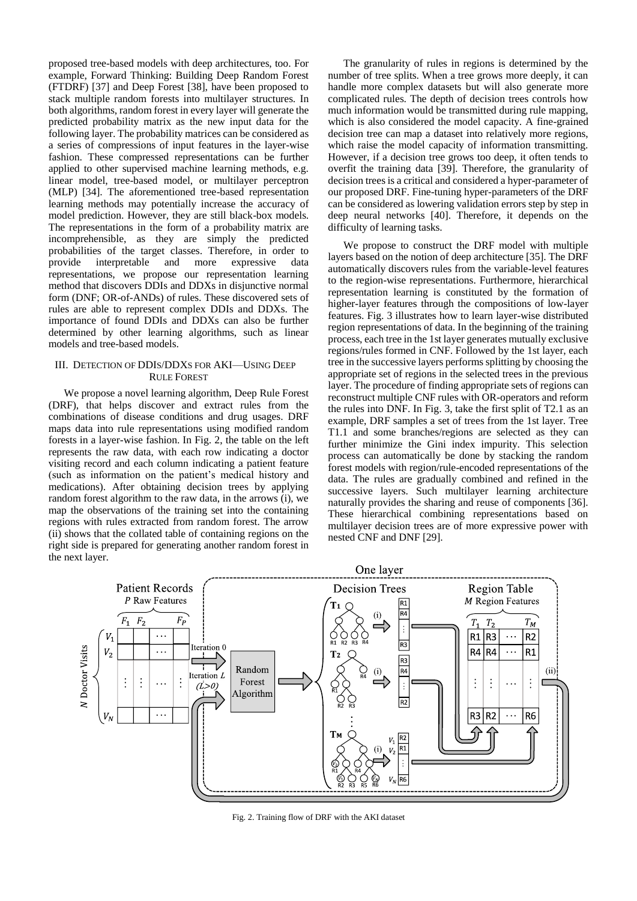proposed tree-based models with deep architectures, too. For example, Forward Thinking: Building Deep Random Forest (FTDRF) [37] and Deep Forest [38], have been proposed to stack multiple random forests into multilayer structures. In both algorithms, random forest in every layer will generate the predicted probability matrix as the new input data for the following layer. The probability matrices can be considered as a series of compressions of input features in the layer-wise fashion. These compressed representations can be further applied to other supervised machine learning methods, e.g. linear model, tree-based model, or multilayer perceptron (MLP) [34]. The aforementioned tree-based representation learning methods may potentially increase the accuracy of model prediction. However, they are still black-box models. The representations in the form of a probability matrix are incomprehensible, as they are simply the predicted probabilities of the target classes. Therefore, in order to provide interpretable and more expressive data representations, we propose our representation learning method that discovers DDIs and DDXs in disjunctive normal form (DNF; OR-of-ANDs) of rules. These discovered sets of rules are able to represent complex DDIs and DDXs. The importance of found DDIs and DDXs can also be further determined by other learning algorithms, such as linear models and tree-based models.

## III. DETECTION OF DDIS/DDXS FOR AKI—USING DEEP RULE FOREST

We propose a novel learning algorithm, Deep Rule Forest (DRF), that helps discover and extract rules from the combinations of disease conditions and drug usages. DRF maps data into rule representations using modified random forests in a layer-wise fashion. In Fig. 2, the table on the left represents the raw data, with each row indicating a doctor visiting record and each column indicating a patient feature (such as information on the patient's medical history and medications). After obtaining decision trees by applying random forest algorithm to the raw data, in the arrows (i), we map the observations of the training set into the containing regions with rules extracted from random forest. The arrow (ii) shows that the collated table of containing regions on the right side is prepared for generating another random forest in the next layer.

The granularity of rules in regions is determined by the number of tree splits. When a tree grows more deeply, it can handle more complex datasets but will also generate more complicated rules. The depth of decision trees controls how much information would be transmitted during rule mapping, which is also considered the model capacity. A fine-grained decision tree can map a dataset into relatively more regions, which raise the model capacity of information transmitting. However, if a decision tree grows too deep, it often tends to overfit the training data [39]. Therefore, the granularity of decision trees is a critical and considered a hyper-parameter of our proposed DRF. Fine-tuning hyper-parameters of the DRF can be considered as lowering validation errors step by step in deep neural networks [40]. Therefore, it depends on the difficulty of learning tasks.

We propose to construct the DRF model with multiple layers based on the notion of deep architecture [35]. The DRF automatically discovers rules from the variable-level features to the region-wise representations. Furthermore, hierarchical representation learning is constituted by the formation of higher-layer features through the compositions of low-layer features. Fig. 3 illustrates how to learn layer-wise distributed region representations of data. In the beginning of the training process, each tree in the 1st layer generates mutually exclusive regions/rules formed in CNF. Followed by the 1st layer, each tree in the successive layers performs splitting by choosing the appropriate set of regions in the selected trees in the previous layer. The procedure of finding appropriate sets of regions can reconstruct multiple CNF rules with OR-operators and reform the rules into DNF. In Fig. 3, take the first split of T2.1 as an example, DRF samples a set of trees from the 1st layer. Tree T1.1 and some branches/regions are selected as they can further minimize the Gini index impurity. This selection process can automatically be done by stacking the random forest models with region/rule-encoded representations of the data. The rules are gradually combined and refined in the successive layers. Such multilayer learning architecture naturally provides the sharing and reuse of components [36]. These hierarchical combining representations based on multilayer decision trees are of more expressive power with nested CNF and DNF [29].



Fig. 2. Training flow of DRF with the AKI dataset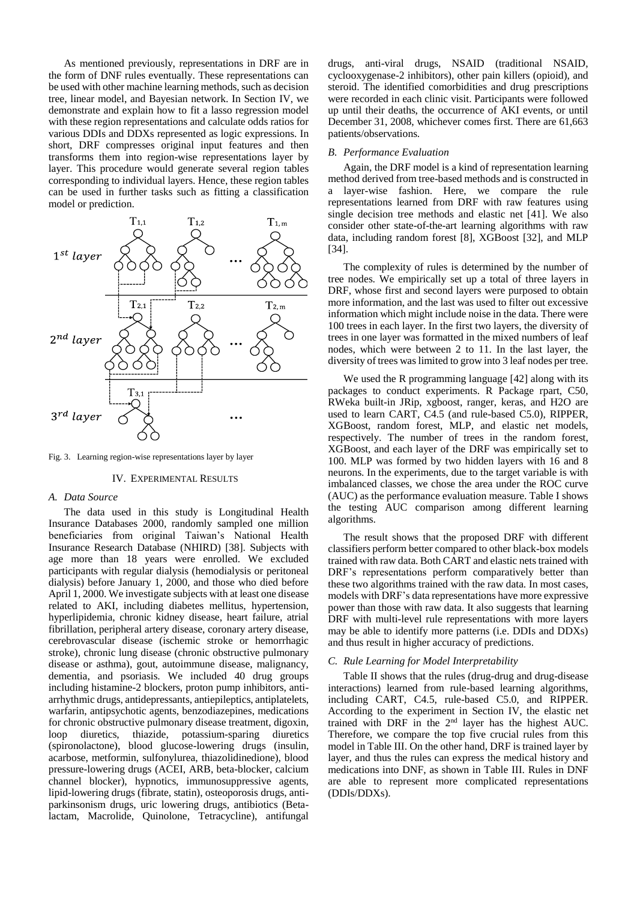As mentioned previously, representations in DRF are in the form of DNF rules eventually. These representations can be used with other machine learning methods, such as decision tree, linear model, and Bayesian network. In Section IV, we demonstrate and explain how to fit a lasso regression model with these region representations and calculate odds ratios for various DDIs and DDXs represented as logic expressions. In short, DRF compresses original input features and then transforms them into region-wise representations layer by layer. This procedure would generate several region tables corresponding to individual layers. Hence, these region tables can be used in further tasks such as fitting a classification model or prediction.

![](_page_3_Figure_1.jpeg)

Fig. 3. Learning region-wise representations layer by layer

#### IV. EXPERIMENTAL RESULTS

## *A. Data Source*

The data used in this study is Longitudinal Health Insurance Databases 2000, randomly sampled one million beneficiaries from original Taiwan's National Health Insurance Research Database (NHIRD) [38]. Subjects with age more than 18 years were enrolled. We excluded participants with regular dialysis (hemodialysis or peritoneal dialysis) before January 1, 2000, and those who died before April 1, 2000. We investigate subjects with at least one disease related to AKI, including diabetes mellitus, hypertension, hyperlipidemia, chronic kidney disease, heart failure, atrial fibrillation, peripheral artery disease, coronary artery disease, cerebrovascular disease (ischemic stroke or hemorrhagic stroke), chronic lung disease (chronic obstructive pulmonary disease or asthma), gout, autoimmune disease, malignancy, dementia, and psoriasis. We included 40 drug groups including histamine-2 blockers, proton pump inhibitors, antiarrhythmic drugs, antidepressants, antiepileptics, antiplatelets, warfarin, antipsychotic agents, benzodiazepines, medications for chronic obstructive pulmonary disease treatment, digoxin, loop diuretics, thiazide, potassium-sparing diuretics (spironolactone), blood glucose-lowering drugs (insulin, acarbose, metformin, sulfonylurea, thiazolidinedione), blood pressure-lowering drugs (ACEI, ARB, beta-blocker, calcium channel blocker), hypnotics, immunosuppressive agents, lipid-lowering drugs (fibrate, statin), osteoporosis drugs, antiparkinsonism drugs, uric lowering drugs, antibiotics (Betalactam, Macrolide, Quinolone, Tetracycline), antifungal

drugs, anti-viral drugs, NSAID (traditional NSAID, cyclooxygenase-2 inhibitors), other pain killers (opioid), and steroid. The identified comorbidities and drug prescriptions were recorded in each clinic visit. Participants were followed up until their deaths, the occurrence of AKI events, or until December 31, 2008, whichever comes first. There are 61,663 patients/observations.

#### *B. Performance Evaluation*

Again, the DRF model is a kind of representation learning method derived from tree-based methods and is constructed in a layer-wise fashion. Here, we compare the rule representations learned from DRF with raw features using single decision tree methods and elastic net [41]. We also consider other state-of-the-art learning algorithms with raw data, including random forest [8], XGBoost [32], and MLP [34].

The complexity of rules is determined by the number of tree nodes. We empirically set up a total of three layers in DRF, whose first and second layers were purposed to obtain more information, and the last was used to filter out excessive information which might include noise in the data. There were 100 trees in each layer. In the first two layers, the diversity of trees in one layer was formatted in the mixed numbers of leaf nodes, which were between 2 to 11. In the last layer, the diversity of trees was limited to grow into 3 leaf nodes per tree.

We used the R programming language [42] along with its packages to conduct experiments. R Package rpart, C50, RWeka built-in JRip, xgboost, ranger, keras, and H2O are used to learn CART, C4.5 (and rule-based C5.0), RIPPER, XGBoost, random forest, MLP, and elastic net models, respectively. The number of trees in the random forest, XGBoost, and each layer of the DRF was empirically set to 100. MLP was formed by two hidden layers with 16 and 8 neurons. In the experiments, due to the target variable is with imbalanced classes, we chose the area under the ROC curve (AUC) as the performance evaluation measure. Table I shows the testing AUC comparison among different learning algorithms.

The result shows that the proposed DRF with different classifiers perform better compared to other black-box models trained with raw data. Both CART and elastic nets trained with DRF's representations perform comparatively better than these two algorithms trained with the raw data. In most cases, models with DRF's data representations have more expressive power than those with raw data. It also suggests that learning DRF with multi-level rule representations with more layers may be able to identify more patterns (i.e. DDIs and DDXs) and thus result in higher accuracy of predictions.

## *C. Rule Learning for Model Interpretability*

Table II shows that the rules (drug-drug and drug-disease interactions) learned from rule-based learning algorithms, including CART, C4.5, rule-based C5.0, and RIPPER. According to the experiment in Section IV, the elastic net trained with DRF in the 2<sup>nd</sup> layer has the highest AUC. Therefore, we compare the top five crucial rules from this model in Table III. On the other hand, DRF is trained layer by layer, and thus the rules can express the medical history and medications into DNF, as shown in Table III. Rules in DNF are able to represent more complicated representations (DDIs/DDXs).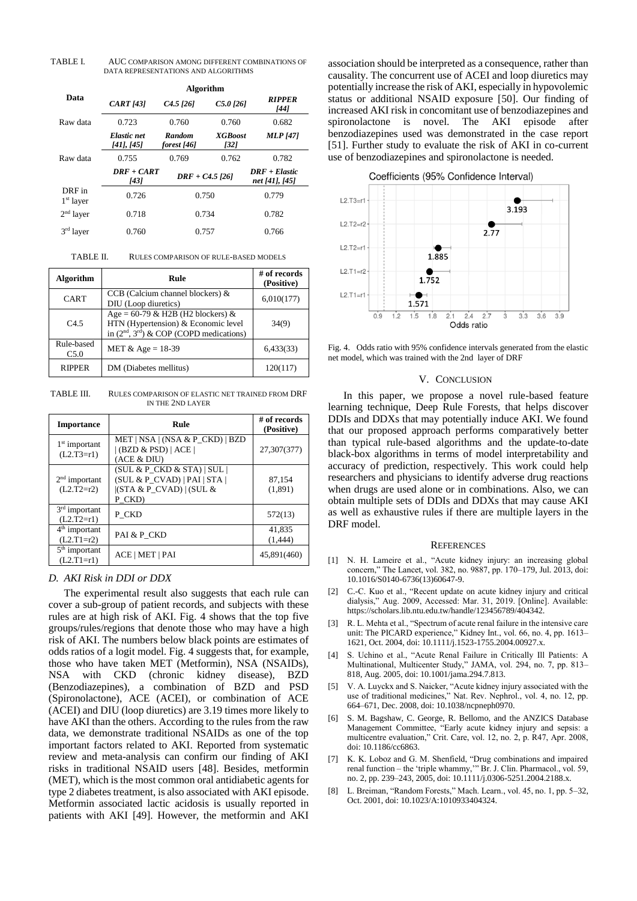TABLE I. AUC COMPARISON AMONG DIFFERENT COMBINATIONS OF DATA REPRESENTATIONS AND ALGORITHMS

|                       | Algorithm                 |                       |                        |                                   |  |
|-----------------------|---------------------------|-----------------------|------------------------|-----------------------------------|--|
| Data                  | <b>CART</b> [43]          | $C4.5$ [26]           | $C5.0$ [26]            | <b>RIPPER</b><br>[44]             |  |
| Raw data              | 0.723                     | 0.760                 | 0.760                  | 0.682                             |  |
|                       | Elastic net<br>[41], [45] | Random<br>forest [46] | <b>XGBoost</b><br>[32] | <b>MLP</b> [47]                   |  |
| Raw data              | 0.755                     | 0.769                 | 0.762                  | 0.782                             |  |
|                       | $DRF + CART$<br>1431      | $DRF + C4.5$ [26]     |                        | $DRF + Elastic$<br>net [41], [45] |  |
| DRF in<br>$1st$ layer | 0.726                     | 0.750                 |                        | 0.779                             |  |
| $2nd$ layer           | 0.718                     | 0.734                 |                        | 0.782                             |  |
| $3rd$ layer           | 0.760                     | 0.757                 |                        | 0.766                             |  |

TABLE II. RULES COMPARISON OF RULE-BASED MODELS

| <b>Algorithm</b>   | Rule                                                                                                                   | # of records<br>(Positive) |
|--------------------|------------------------------------------------------------------------------------------------------------------------|----------------------------|
| <b>CART</b>        | $CCB$ (Calcium channel blockers) $&$<br>DIU (Loop diuretics)                                                           | 6,010(177)                 |
| C4.5               | Age = $60-79$ & H2B (H2 blockers) &<br>HTN (Hypertension) & Economic level<br>in $(2nd, 3rd)$ & COP (COPD medications) | 34(9)                      |
| Rule-based<br>C5.0 | MET & Age = $18-39$                                                                                                    | 6,433(33)                  |
| <b>RIPPER</b>      | DM (Diabetes mellitus)                                                                                                 | 120(117)                   |

TABLE III. RULES COMPARISON OF ELASTIC NET TRAINED FROM DRF IN THE 2ND LAYER

| <b>Importance</b>               | Rule                                                                                                | $#$ of records<br>(Positive) |
|---------------------------------|-----------------------------------------------------------------------------------------------------|------------------------------|
| $1st$ important<br>$(L2.T3=r1)$ | $MET NSA $ (NSA & P CKD)   BZD<br>(BZD & PSD)   ACE  <br>(ACE & DIU)                                | 27,307(377)                  |
| $2nd$ important<br>$(L2.T2=r2)$ | (SUL & P CKD & STA)   SUL <br>$(SUL & P CVAD)$   PAI   STA  <br>  (STA & P CVAD)   (SUL &<br>P CKD) | 87.154<br>(1,891)            |
| $3rd$ important<br>$(L2.T2=r1)$ | P CKD                                                                                               | 572(13)                      |
| $4th$ important<br>$(L2.T1=r2)$ | PAI & P CKD                                                                                         | 41,835<br>(1,444)            |
| $5th$ important<br>$(L2.T1=r1)$ | ACE   MET   PAI                                                                                     | 45,891(460)                  |

## *D. AKI Risk in DDI or DDX*

The experimental result also suggests that each rule can cover a sub-group of patient records, and subjects with these rules are at high risk of AKI. Fig. 4 shows that the top five groups/rules/regions that denote those who may have a high risk of AKI. The numbers below black points are estimates of odds ratios of a logit model. Fig. 4 suggests that, for example, those who have taken MET (Metformin), NSA (NSAIDs), NSA with CKD (chronic kidney disease), BZD (Benzodiazepines), a combination of BZD and PSD (Spironolactone), ACE (ACEI), or combination of ACE (ACEI) and DIU (loop diuretics) are 3.19 times more likely to have AKI than the others. According to the rules from the raw data, we demonstrate traditional NSAIDs as one of the top important factors related to AKI. Reported from systematic review and meta-analysis can confirm our finding of AKI risks in traditional NSAID users [48]. Besides, metformin (MET), which is the most common oral antidiabetic agents for type 2 diabetes treatment, is also associated with AKI episode. Metformin associated lactic acidosis is usually reported in patients with AKI [49]. However, the metformin and AKI

association should be interpreted as a consequence, rather than causality. The concurrent use of ACEI and loop diuretics may potentially increase the risk of AKI, especially in hypovolemic status or additional NSAID exposure [50]. Our finding of increased AKI risk in concomitant use of benzodiazepines and spironolactone is novel. The AKI episode after benzodiazepines used was demonstrated in the case report [51]. Further study to evaluate the risk of AKI in co-current use of benzodiazepines and spironolactone is needed.

Coefficients (95% Confidence Interval)

![](_page_4_Figure_10.jpeg)

Fig. 4. Odds ratio with 95% confidence intervals generated from the elastic net model, which was trained with the 2nd layer of DRF

#### V. CONCLUSION

In this paper, we propose a novel rule-based feature learning technique, Deep Rule Forests, that helps discover DDIs and DDXs that may potentially induce AKI. We found that our proposed approach performs comparatively better than typical rule-based algorithms and the update-to-date black-box algorithms in terms of model interpretability and accuracy of prediction, respectively. This work could help researchers and physicians to identify adverse drug reactions when drugs are used alone or in combinations. Also, we can obtain multiple sets of DDIs and DDXs that may cause AKI as well as exhaustive rules if there are multiple layers in the DRF model.

#### **REFERENCES**

- [1] N. H. Lameire et al., "Acute kidney injury: an increasing global concern," The Lancet, vol. 382, no. 9887, pp. 170–179, Jul. 2013, doi: 10.1016/S0140-6736(13)60647-9.
- [2] C.-C. Kuo et al., "Recent update on acute kidney injury and critical dialysis," Aug. 2009, Accessed: Mar. 31, 2019. [Online]. Available: https://scholars.lib.ntu.edu.tw/handle/123456789/404342.
- [3] R. L. Mehta et al., "Spectrum of acute renal failure in the intensive care unit: The PICARD experience," Kidney Int., vol. 66, no. 4, pp. 1613– 1621, Oct. 2004, doi: 10.1111/j.1523-1755.2004.00927.x.
- [4] S. Uchino et al., "Acute Renal Failure in Critically Ill Patients: A Multinational, Multicenter Study," JAMA, vol. 294, no. 7, pp. 813– 818, Aug. 2005, doi: 10.1001/jama.294.7.813.
- [5] V. A. Luyckx and S. Naicker, "Acute kidney injury associated with the use of traditional medicines," Nat. Rev. Nephrol., vol. 4, no. 12, pp. 664–671, Dec. 2008, doi: 10.1038/ncpneph0970.
- [6] S. M. Bagshaw, C. George, R. Bellomo, and the ANZICS Database Management Committee, "Early acute kidney injury and sepsis: a multicentre evaluation," Crit. Care, vol. 12, no. 2, p. R47, Apr. 2008, doi: 10.1186/cc6863.
- K. K. Loboz and G. M. Shenfield, "Drug combinations and impaired renal function – the 'triple whammy,'" Br. J. Clin. Pharmacol., vol. 59, no. 2, pp. 239–243, 2005, doi: 10.1111/j.0306-5251.2004.2188.x.
- [8] L. Breiman, "Random Forests," Mach. Learn., vol. 45, no. 1, pp. 5–32, Oct. 2001, doi: 10.1023/A:1010933404324.